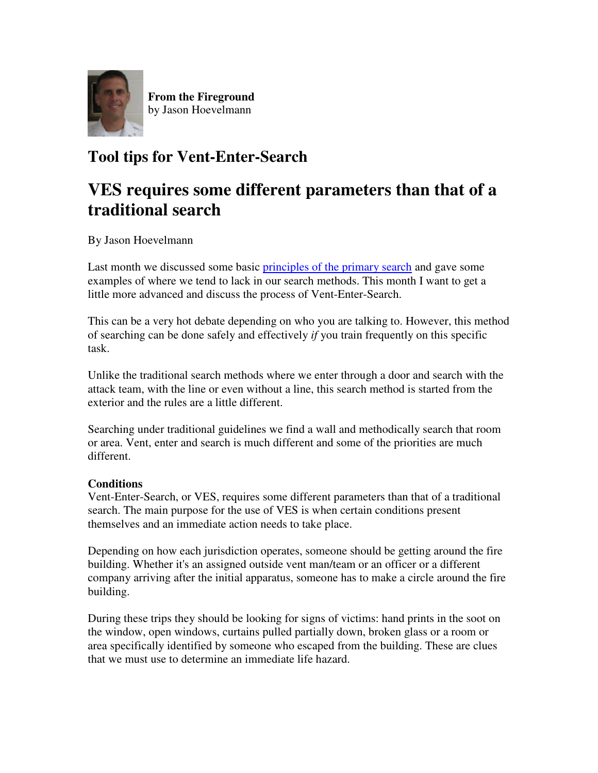

**From the Fireground** by Jason Hoevelmann

## **Tool tips for Vent-Enter-Search**

## **VES requires some different parameters than that of a traditional search**

By Jason Hoevelmann

Last month we discussed some basic principles of the primary search and gave some examples of where we tend to lack in our search methods. This month I want to get a little more advanced and discuss the process of Vent-Enter-Search.

This can be a very hot debate depending on who you are talking to. However, this method of searching can be done safely and effectively *if* you train frequently on this specific task.

Unlike the traditional search methods where we enter through a door and search with the attack team, with the line or even without a line, this search method is started from the exterior and the rules are a little different.

Searching under traditional guidelines we find a wall and methodically search that room or area. Vent, enter and search is much different and some of the priorities are much different.

## **Conditions**

Vent-Enter-Search, or VES, requires some different parameters than that of a traditional search. The main purpose for the use of VES is when certain conditions present themselves and an immediate action needs to take place.

Depending on how each jurisdiction operates, someone should be getting around the fire building. Whether it's an assigned outside vent man/team or an officer or a different company arriving after the initial apparatus, someone has to make a circle around the fire building.

During these trips they should be looking for signs of victims: hand prints in the soot on the window, open windows, curtains pulled partially down, broken glass or a room or area specifically identified by someone who escaped from the building. These are clues that we must use to determine an immediate life hazard.